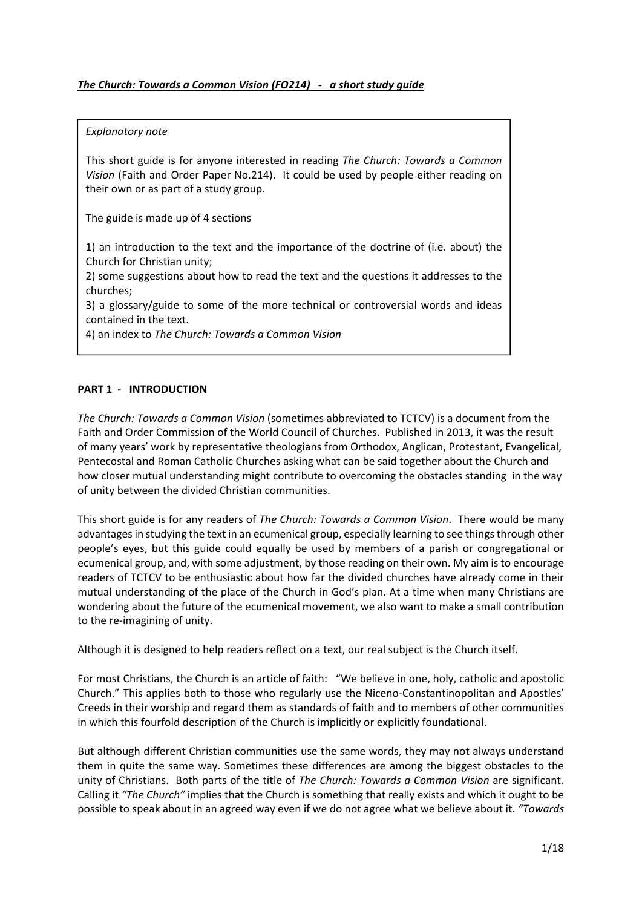# *The Church: Towards a Common Vision (FO214) ‐ a short study guide*

#### *Explanatory note*

This short guide is for anyone interested in reading *The Church: Towards a Common Vision* (Faith and Order Paper No.214). It could be used by people either reading on their own or as part of a study group.

The guide is made up of 4 sections

1) an introduction to the text and the importance of the doctrine of (i.e. about) the Church for Christian unity;

2) some suggestions about how to read the text and the questions it addresses to the churches;

3) a glossary/guide to some of the more technical or controversial words and ideas contained in the text.

4) an index to *The Church: Towards a Common Vision*

## **PART 1 ‐ INTRODUCTION**

*The Church: Towards a Common Vision* (sometimes abbreviated to TCTCV) is a document from the Faith and Order Commission of the World Council of Churches. Published in 2013, it was the result of many years' work by representative theologians from Orthodox, Anglican, Protestant, Evangelical, Pentecostal and Roman Catholic Churches asking what can be said together about the Church and how closer mutual understanding might contribute to overcoming the obstacles standing in the way of unity between the divided Christian communities.

This short guide is for any readers of *The Church: Towards a Common Vision*. There would be many advantages in studying the text in an ecumenical group, especially learning to see things through other people's eyes, but this guide could equally be used by members of a parish or congregational or ecumenical group, and, with some adjustment, by those reading on their own. My aim isto encourage readers of TCTCV to be enthusiastic about how far the divided churches have already come in their mutual understanding of the place of the Church in God's plan. At a time when many Christians are wondering about the future of the ecumenical movement, we also want to make a small contribution to the re‐imagining of unity.

Although it is designed to help readers reflect on a text, our real subject is the Church itself.

For most Christians, the Church is an article of faith: "We believe in one, holy, catholic and apostolic Church." This applies both to those who regularly use the Niceno‐Constantinopolitan and Apostles' Creeds in their worship and regard them as standards of faith and to members of other communities in which this fourfold description of the Church is implicitly or explicitly foundational.

But although different Christian communities use the same words, they may not always understand them in quite the same way. Sometimes these differences are among the biggest obstacles to the unity of Christians. Both parts of the title of *The Church: Towards a Common Vision* are significant. Calling it *"The Church"* implies that the Church is something that really exists and which it ought to be possible to speak about in an agreed way even if we do not agree what we believe about it. *"Towards*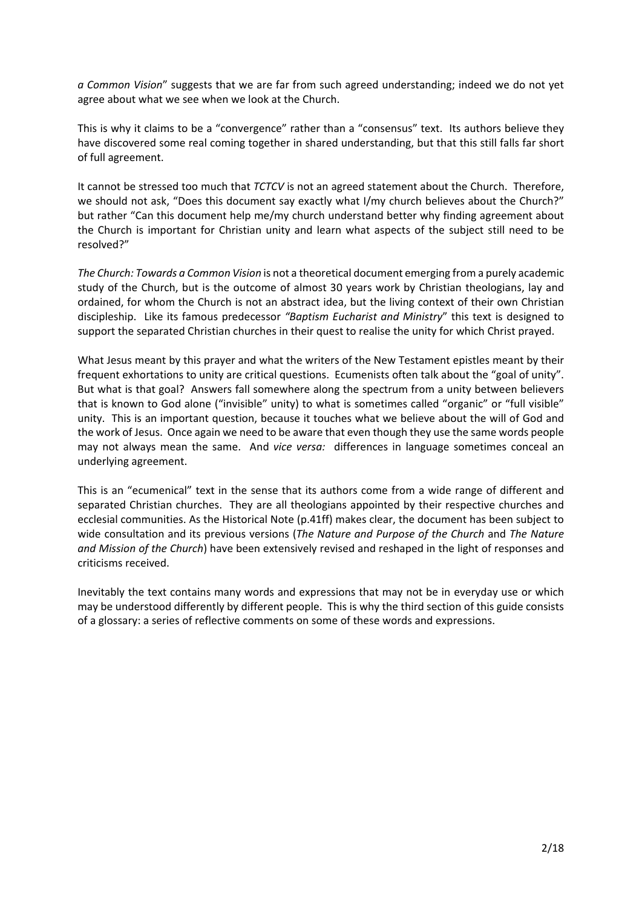*a Common Vision*" suggests that we are far from such agreed understanding; indeed we do not yet agree about what we see when we look at the Church.

This is why it claims to be a "convergence" rather than a "consensus" text. Its authors believe they have discovered some real coming together in shared understanding, but that this still falls far short of full agreement.

It cannot be stressed too much that *TCTCV* is not an agreed statement about the Church. Therefore, we should not ask, "Does this document say exactly what I/my church believes about the Church?" but rather "Can this document help me/my church understand better why finding agreement about the Church is important for Christian unity and learn what aspects of the subject still need to be resolved?"

*The Church: Towards a Common Vision* is not a theoretical document emerging from a purely academic study of the Church, but is the outcome of almost 30 years work by Christian theologians, lay and ordained, for whom the Church is not an abstract idea, but the living context of their own Christian discipleship. Like its famous predecessor *"Baptism Eucharist and Ministry*" this text is designed to support the separated Christian churches in their quest to realise the unity for which Christ prayed.

What Jesus meant by this prayer and what the writers of the New Testament epistles meant by their frequent exhortations to unity are critical questions. Ecumenists often talk about the "goal of unity". But what is that goal? Answers fall somewhere along the spectrum from a unity between believers that is known to God alone ("invisible" unity) to what is sometimes called "organic" or "full visible" unity. This is an important question, because it touches what we believe about the will of God and the work of Jesus. Once again we need to be aware that even though they use the same words people may not always mean the same. And *vice versa:* differences in language sometimes conceal an underlying agreement.

This is an "ecumenical" text in the sense that its authors come from a wide range of different and separated Christian churches. They are all theologians appointed by their respective churches and ecclesial communities. As the Historical Note (p.41ff) makes clear, the document has been subject to wide consultation and its previous versions (*The Nature and Purpose of the Church* and *The Nature and Mission of the Church*) have been extensively revised and reshaped in the light of responses and criticisms received.

Inevitably the text contains many words and expressions that may not be in everyday use or which may be understood differently by different people. This is why the third section of this guide consists of a glossary: a series of reflective comments on some of these words and expressions.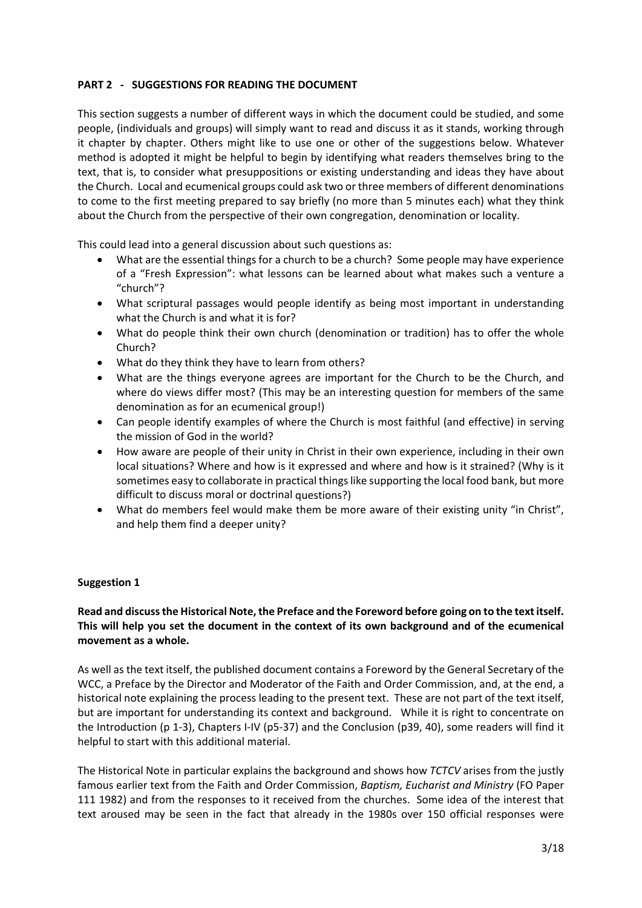# **PART 2 ‐ SUGGESTIONS FOR READING THE DOCUMENT**

This section suggests a number of different ways in which the document could be studied, and some people, (individuals and groups) will simply want to read and discuss it as it stands, working through it chapter by chapter. Others might like to use one or other of the suggestions below. Whatever method is adopted it might be helpful to begin by identifying what readers themselves bring to the text, that is, to consider what presuppositions or existing understanding and ideas they have about the Church. Local and ecumenical groups could ask two or three members of different denominations to come to the first meeting prepared to say briefly (no more than 5 minutes each) what they think about the Church from the perspective of their own congregation, denomination or locality.

This could lead into a general discussion about such questions as:

- What are the essential things for a church to be a church? Some people may have experience of a "Fresh Expression": what lessons can be learned about what makes such a venture a "church"?
- What scriptural passages would people identify as being most important in understanding what the Church is and what it is for?
- What do people think their own church (denomination or tradition) has to offer the whole Church?
- What do they think they have to learn from others?
- What are the things everyone agrees are important for the Church to be the Church, and where do views differ most? (This may be an interesting question for members of the same denomination as for an ecumenical group!)
- Can people identify examples of where the Church is most faithful (and effective) in serving the mission of God in the world?
- How aware are people of their unity in Christ in their own experience, including in their own local situations? Where and how is it expressed and where and how is it strained? (Why is it sometimes easy to collaborate in practical things like supporting the local food bank, but more difficult to discuss moral or doctrinal questions?)
- What do members feel would make them be more aware of their existing unity "in Christ", and help them find a deeper unity?

## **Suggestion 1**

# **Read and discussthe Historical Note,the Preface and the Foreword before going on to the text itself. This will help you set the document in the context of its own background and of the ecumenical movement as a whole.**

As well as the text itself, the published document contains a Foreword by the General Secretary of the WCC, a Preface by the Director and Moderator of the Faith and Order Commission, and, at the end, a historical note explaining the process leading to the present text. These are not part of the text itself, but are important for understanding its context and background. While it is right to concentrate on the Introduction (p 1‐3), Chapters I‐IV (p5‐37) and the Conclusion (p39, 40), some readers will find it helpful to start with this additional material.

The Historical Note in particular explains the background and shows how *TCTCV* arises from the justly famous earlier text from the Faith and Order Commission, *Baptism, Eucharist and Ministry* (FO Paper 111 1982) and from the responses to it received from the churches. Some idea of the interest that text aroused may be seen in the fact that already in the 1980s over 150 official responses were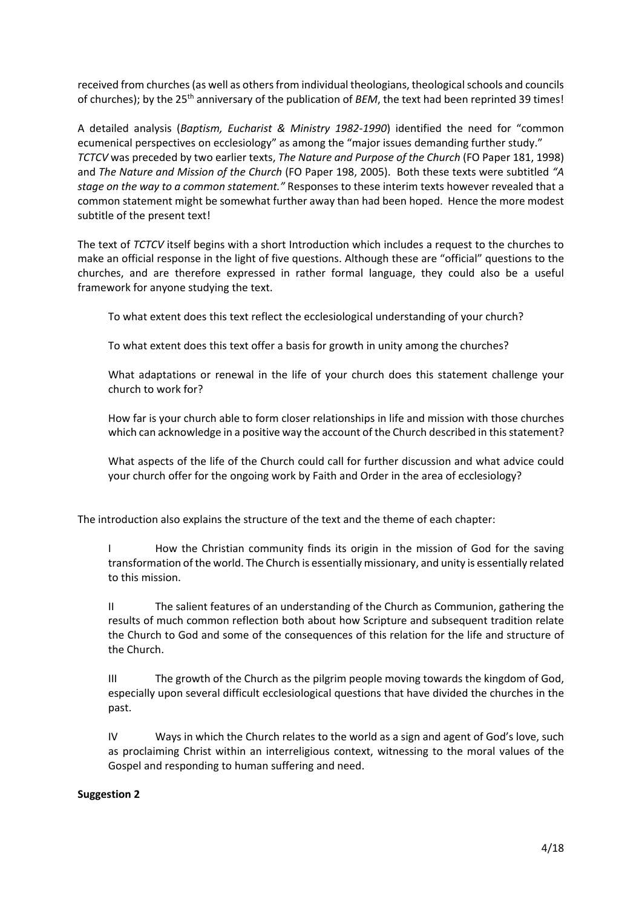received from churches (as well as others from individual theologians, theological schools and councils of churches); by the 25<sup>th</sup> anniversary of the publication of *BEM*, the text had been reprinted 39 times!

A detailed analysis (*Baptism, Eucharist & Ministry 1982‐1990*) identified the need for "common ecumenical perspectives on ecclesiology" as among the "major issues demanding further study." *TCTCV* was preceded by two earlier texts, *The Nature and Purpose of the Church* (FO Paper 181, 1998) and *The Nature and Mission of the Church* (FO Paper 198, 2005). Both these texts were subtitled *"A stage on the way to a common statement."* Responses to these interim texts however revealed that a common statement might be somewhat further away than had been hoped. Hence the more modest subtitle of the present text!

The text of *TCTCV* itself begins with a short Introduction which includes a request to the churches to make an official response in the light of five questions. Although these are "official" questions to the churches, and are therefore expressed in rather formal language, they could also be a useful framework for anyone studying the text.

To what extent does this text reflect the ecclesiological understanding of your church?

To what extent does this text offer a basis for growth in unity among the churches?

What adaptations or renewal in the life of your church does this statement challenge your church to work for?

How far is your church able to form closer relationships in life and mission with those churches which can acknowledge in a positive way the account of the Church described in this statement?

What aspects of the life of the Church could call for further discussion and what advice could your church offer for the ongoing work by Faith and Order in the area of ecclesiology?

The introduction also explains the structure of the text and the theme of each chapter:

I How the Christian community finds its origin in the mission of God for the saving transformation of the world. The Church is essentially missionary, and unity is essentially related to this mission.

II The salient features of an understanding of the Church as Communion, gathering the results of much common reflection both about how Scripture and subsequent tradition relate the Church to God and some of the consequences of this relation for the life and structure of the Church.

III The growth of the Church as the pilgrim people moving towards the kingdom of God, especially upon several difficult ecclesiological questions that have divided the churches in the past.

IV Ways in which the Church relates to the world as a sign and agent of God's love, such as proclaiming Christ within an interreligious context, witnessing to the moral values of the Gospel and responding to human suffering and need.

## **Suggestion 2**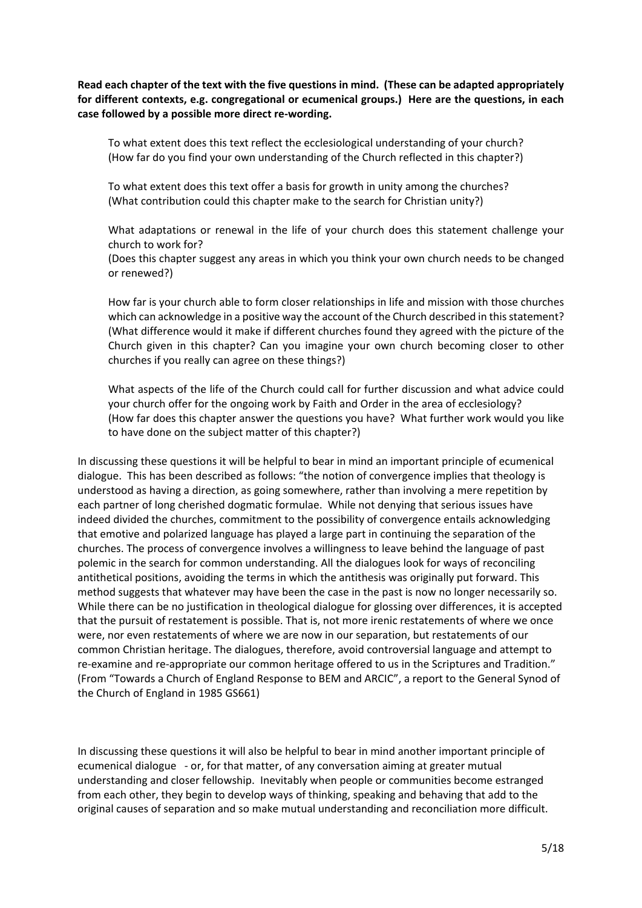Read each chapter of the text with the five questions in mind. (These can be adapted appropriately **for different contexts, e.g. congregational or ecumenical groups.) Here are the questions, in each case followed by a possible more direct re‐wording.**

To what extent does this text reflect the ecclesiological understanding of your church? (How far do you find your own understanding of the Church reflected in this chapter?)

To what extent does this text offer a basis for growth in unity among the churches? (What contribution could this chapter make to the search for Christian unity?)

What adaptations or renewal in the life of your church does this statement challenge your church to work for?

(Does this chapter suggest any areas in which you think your own church needs to be changed or renewed?)

How far is your church able to form closer relationships in life and mission with those churches which can acknowledge in a positive way the account of the Church described in this statement? (What difference would it make if different churches found they agreed with the picture of the Church given in this chapter? Can you imagine your own church becoming closer to other churches if you really can agree on these things?)

What aspects of the life of the Church could call for further discussion and what advice could your church offer for the ongoing work by Faith and Order in the area of ecclesiology? (How far does this chapter answer the questions you have? What further work would you like to have done on the subject matter of this chapter?)

In discussing these questions it will be helpful to bear in mind an important principle of ecumenical dialogue. This has been described as follows: "the notion of convergence implies that theology is understood as having a direction, as going somewhere, rather than involving a mere repetition by each partner of long cherished dogmatic formulae. While not denying that serious issues have indeed divided the churches, commitment to the possibility of convergence entails acknowledging that emotive and polarized language has played a large part in continuing the separation of the churches. The process of convergence involves a willingness to leave behind the language of past polemic in the search for common understanding. All the dialogues look for ways of reconciling antithetical positions, avoiding the terms in which the antithesis was originally put forward. This method suggests that whatever may have been the case in the past is now no longer necessarily so. While there can be no justification in theological dialogue for glossing over differences, it is accepted that the pursuit of restatement is possible. That is, not more irenic restatements of where we once were, nor even restatements of where we are now in our separation, but restatements of our common Christian heritage. The dialogues, therefore, avoid controversial language and attempt to re-examine and re-appropriate our common heritage offered to us in the Scriptures and Tradition." (From "Towards a Church of England Response to BEM and ARCIC", a report to the General Synod of the Church of England in 1985 GS661)

In discussing these questions it will also be helpful to bear in mind another important principle of ecumenical dialogue ‐ or, for that matter, of any conversation aiming at greater mutual understanding and closer fellowship. Inevitably when people or communities become estranged from each other, they begin to develop ways of thinking, speaking and behaving that add to the original causes of separation and so make mutual understanding and reconciliation more difficult.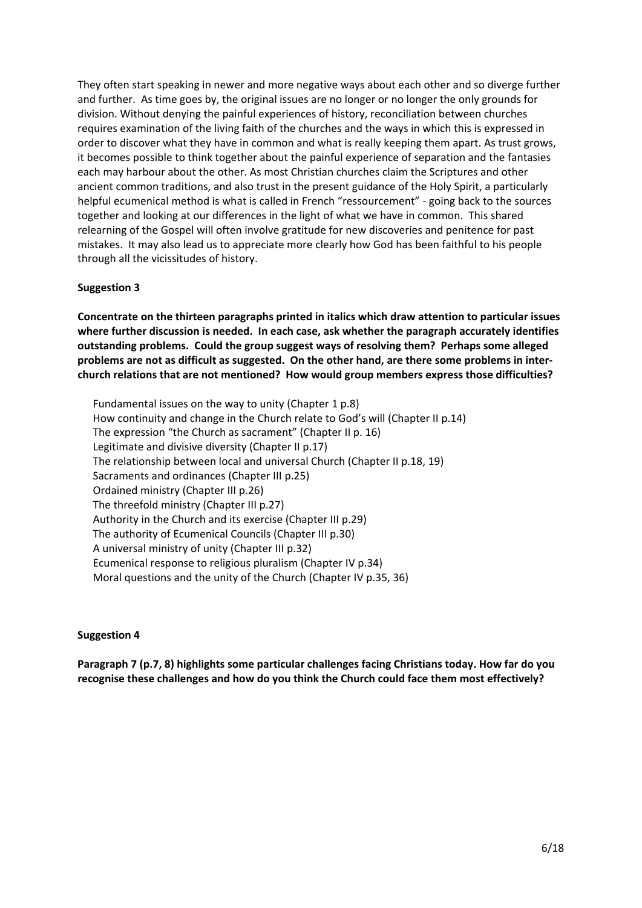They often start speaking in newer and more negative ways about each other and so diverge further and further. As time goes by, the original issues are no longer or no longer the only grounds for division. Without denying the painful experiences of history, reconciliation between churches requires examination of the living faith of the churches and the ways in which this is expressed in order to discover what they have in common and what is really keeping them apart. As trust grows, it becomes possible to think together about the painful experience of separation and the fantasies each may harbour about the other. As most Christian churches claim the Scriptures and other ancient common traditions, and also trust in the present guidance of the Holy Spirit, a particularly helpful ecumenical method is what is called in French "ressourcement" - going back to the sources together and looking at our differences in the light of what we have in common. This shared relearning of the Gospel will often involve gratitude for new discoveries and penitence for past mistakes. It may also lead us to appreciate more clearly how God has been faithful to his people through all the vicissitudes of history.

# **Suggestion 3**

**Concentrate on the thirteen paragraphs printed in italics which draw attention to particular issues where further discussion is needed. In each case, ask whether the paragraph accurately identifies outstanding problems. Could the group suggest ways of resolving them? Perhaps some alleged** problems are not as difficult as suggested. On the other hand, are there some problems in inter**church relations that are not mentioned? How would group members express those difficulties?**

Fundamental issues on the way to unity (Chapter 1 p.8) How continuity and change in the Church relate to God's will (Chapter II p.14) The expression "the Church as sacrament" (Chapter II p. 16) Legitimate and divisive diversity (Chapter II p.17) The relationship between local and universal Church (Chapter II p.18, 19) Sacraments and ordinances (Chapter III p.25) Ordained ministry (Chapter III p.26) The threefold ministry (Chapter III p.27) Authority in the Church and its exercise (Chapter III p.29) The authority of Ecumenical Councils (Chapter III p.30) A universal ministry of unity (Chapter III p.32) Ecumenical response to religious pluralism (Chapter IV p.34) Moral questions and the unity of the Church (Chapter IV p.35, 36)

## **Suggestion 4**

**Paragraph 7 (p.7, 8) highlights some particular challenges facing Christians today. How far do you recognise these challenges and how do you think the Church could face them most effectively?**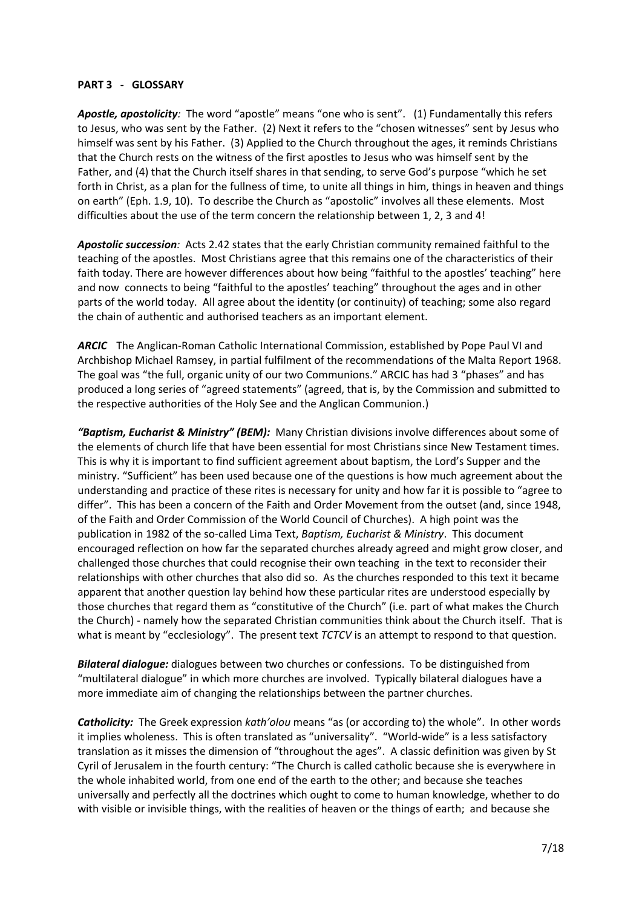#### **PART 3 ‐ GLOSSARY**

*Apostle, apostolicity:* The word "apostle" means "one who is sent". (1) Fundamentally this refers to Jesus, who was sent by the Father. (2) Next it refers to the "chosen witnesses" sent by Jesus who himself was sent by his Father. (3) Applied to the Church throughout the ages, it reminds Christians that the Church rests on the witness of the first apostles to Jesus who was himself sent by the Father, and (4) that the Church itself shares in that sending, to serve God's purpose "which he set forth in Christ, as a plan for the fullness of time, to unite all things in him, things in heaven and things on earth" (Eph. 1.9, 10). To describe the Church as "apostolic" involves all these elements. Most difficulties about the use of the term concern the relationship between 1, 2, 3 and 4!

*Apostolic succession:* Acts 2.42 states that the early Christian community remained faithful to the teaching of the apostles. Most Christians agree that this remains one of the characteristics of their faith today. There are however differences about how being "faithful to the apostles' teaching" here and now connects to being "faithful to the apostles' teaching" throughout the ages and in other parts of the world today. All agree about the identity (or continuity) of teaching; some also regard the chain of authentic and authorised teachers as an important element.

ARCIC The Anglican-Roman Catholic International Commission, established by Pope Paul VI and Archbishop Michael Ramsey, in partial fulfilment of the recommendations of the Malta Report 1968. The goal was "the full, organic unity of our two Communions." ARCIC has had 3 "phases" and has produced a long series of "agreed statements" (agreed, that is, by the Commission and submitted to the respective authorities of the Holy See and the Anglican Communion.)

*"Baptism, Eucharist & Ministry" (BEM):* Many Christian divisions involve differences about some of the elements of church life that have been essential for most Christians since New Testament times. This is why it is important to find sufficient agreement about baptism, the Lord's Supper and the ministry. "Sufficient" has been used because one of the questions is how much agreement about the understanding and practice of these rites is necessary for unity and how far it is possible to "agree to differ". This has been a concern of the Faith and Order Movement from the outset (and, since 1948, of the Faith and Order Commission of the World Council of Churches). A high point was the publication in 1982 of the so‐called Lima Text, *Baptism, Eucharist & Ministry*. This document encouraged reflection on how far the separated churches already agreed and might grow closer, and challenged those churches that could recognise their own teaching in the text to reconsider their relationships with other churches that also did so. As the churches responded to this text it became apparent that another question lay behind how these particular rites are understood especially by those churches that regard them as "constitutive of the Church" (i.e. part of what makes the Church the Church) - namely how the separated Christian communities think about the Church itself. That is what is meant by "ecclesiology". The present text *TCTCV* is an attempt to respond to that question.

*Bilateral dialogue:* dialogues between two churches or confessions. To be distinguished from "multilateral dialogue" in which more churches are involved. Typically bilateral dialogues have a more immediate aim of changing the relationships between the partner churches.

*Catholicity:* The Greek expression *kath'olou* means "as (or according to) the whole". In other words it implies wholeness. This is often translated as "universality". "World-wide" is a less satisfactory translation as it misses the dimension of "throughout the ages". A classic definition was given by St Cyril of Jerusalem in the fourth century: "The Church is called catholic because she is everywhere in the whole inhabited world, from one end of the earth to the other; and because she teaches universally and perfectly all the doctrines which ought to come to human knowledge, whether to do with visible or invisible things, with the realities of heaven or the things of earth; and because she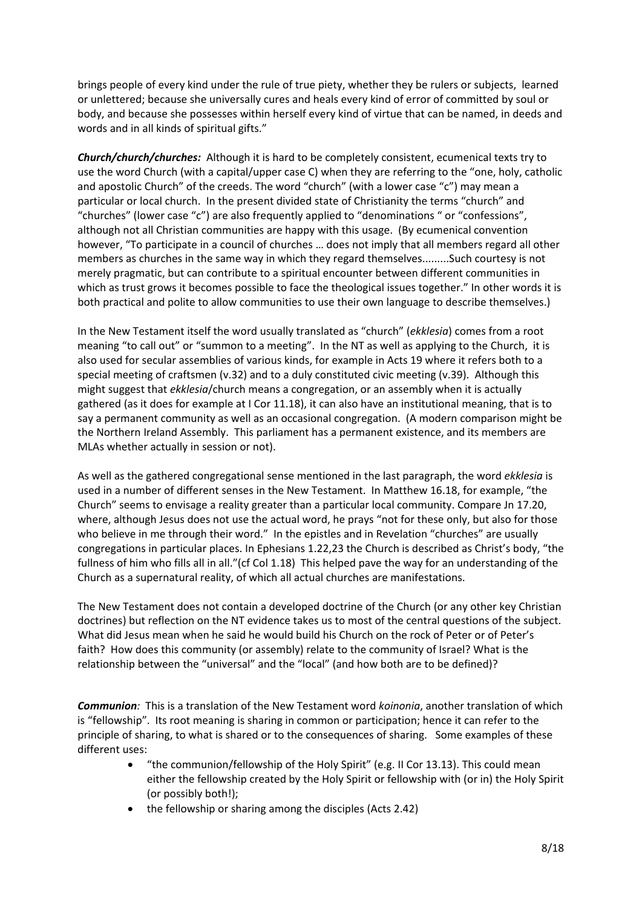brings people of every kind under the rule of true piety, whether they be rulers or subjects, learned or unlettered; because she universally cures and heals every kind of error of committed by soul or body, and because she possesses within herself every kind of virtue that can be named, in deeds and words and in all kinds of spiritual gifts."

*Church/church/churches:* Although it is hard to be completely consistent, ecumenical texts try to use the word Church (with a capital/upper case C) when they are referring to the "one, holy, catholic and apostolic Church" of the creeds. The word "church" (with a lower case "c") may mean a particular or local church. In the present divided state of Christianity the terms "church" and "churches" (lower case "c") are also frequently applied to "denominations " or "confessions", although not all Christian communities are happy with this usage. (By ecumenical convention however, "To participate in a council of churches … does not imply that all members regard all other members as churches in the same way in which they regard themselves.........Such courtesy is not merely pragmatic, but can contribute to a spiritual encounter between different communities in which as trust grows it becomes possible to face the theological issues together." In other words it is both practical and polite to allow communities to use their own language to describe themselves.)

In the New Testament itself the word usually translated as "church" (*ekklesia*) comes from a root meaning "to call out" or "summon to a meeting". In the NT as well as applying to the Church, it is also used for secular assemblies of various kinds, for example in Acts 19 where it refers both to a special meeting of craftsmen (v.32) and to a duly constituted civic meeting (v.39). Although this might suggest that *ekklesia*/church means a congregation, or an assembly when it is actually gathered (as it does for example at I Cor 11.18), it can also have an institutional meaning, that is to say a permanent community as well as an occasional congregation. (A modern comparison might be the Northern Ireland Assembly. This parliament has a permanent existence, and its members are MLAs whether actually in session or not).

As well as the gathered congregational sense mentioned in the last paragraph, the word *ekklesia* is used in a number of different senses in the New Testament. In Matthew 16.18, for example, "the Church" seems to envisage a reality greater than a particular local community. Compare Jn 17.20, where, although Jesus does not use the actual word, he prays "not for these only, but also for those who believe in me through their word." In the epistles and in Revelation "churches" are usually congregations in particular places. In Ephesians 1.22,23 the Church is described as Christ's body, "the fullness of him who fills all in all."(cf Col 1.18) This helped pave the way for an understanding of the Church as a supernatural reality, of which all actual churches are manifestations.

The New Testament does not contain a developed doctrine of the Church (or any other key Christian doctrines) but reflection on the NT evidence takes us to most of the central questions of the subject. What did Jesus mean when he said he would build his Church on the rock of Peter or of Peter's faith? How does this community (or assembly) relate to the community of Israel? What is the relationship between the "universal" and the "local" (and how both are to be defined)?

**Communion**: This is a translation of the New Testament word *koinonia*, another translation of which is "fellowship". Its root meaning is sharing in common or participation; hence it can refer to the principle of sharing, to what is shared or to the consequences of sharing. Some examples of these different uses:

- "the communion/fellowship of the Holy Spirit" (e.g. II Cor 13.13). This could mean either the fellowship created by the Holy Spirit or fellowship with (or in) the Holy Spirit (or possibly both!);
- the fellowship or sharing among the disciples (Acts 2.42)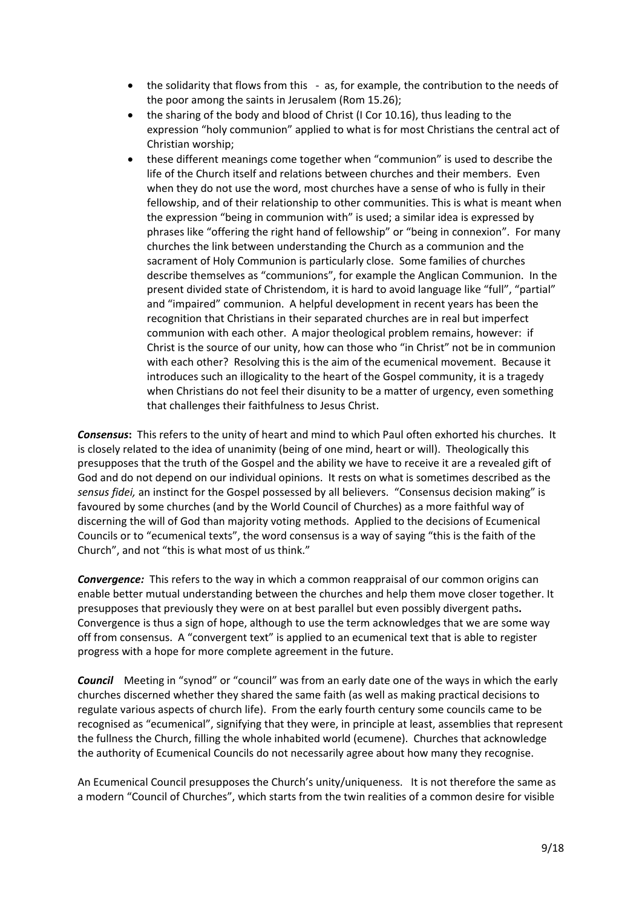- the solidarity that flows from this ‐ as, for example, the contribution to the needs of the poor among the saints in Jerusalem (Rom 15.26);
- the sharing of the body and blood of Christ (I Cor 10.16), thus leading to the expression "holy communion" applied to what is for most Christians the central act of Christian worship;
- these different meanings come together when "communion" is used to describe the life of the Church itself and relations between churches and their members. Even when they do not use the word, most churches have a sense of who is fully in their fellowship, and of their relationship to other communities. This is what is meant when the expression "being in communion with" is used; a similar idea is expressed by phrases like "offering the right hand of fellowship" or "being in connexion". For many churches the link between understanding the Church as a communion and the sacrament of Holy Communion is particularly close. Some families of churches describe themselves as "communions", for example the Anglican Communion. In the present divided state of Christendom, it is hard to avoid language like "full", "partial" and "impaired" communion. A helpful development in recent years has been the recognition that Christians in their separated churches are in real but imperfect communion with each other. A major theological problem remains, however: if Christ is the source of our unity, how can those who "in Christ" not be in communion with each other? Resolving this is the aim of the ecumenical movement. Because it introduces such an illogicality to the heart of the Gospel community, it is a tragedy when Christians do not feel their disunity to be a matter of urgency, even something that challenges their faithfulness to Jesus Christ.

*Consensus***:** This refers to the unity of heart and mind to which Paul often exhorted his churches. It is closely related to the idea of unanimity (being of one mind, heart or will). Theologically this presupposes that the truth of the Gospel and the ability we have to receive it are a revealed gift of God and do not depend on our individual opinions. It rests on what is sometimes described as the *sensus fidei,* an instinct for the Gospel possessed by all believers. "Consensus decision making" is favoured by some churches (and by the World Council of Churches) as a more faithful way of discerning the will of God than majority voting methods. Applied to the decisions of Ecumenical Councils or to "ecumenical texts", the word consensus is a way of saying "this is the faith of the Church", and not "this is what most of us think."

**Convergence:** This refers to the way in which a common reappraisal of our common origins can enable better mutual understanding between the churches and help them move closer together. It presupposes that previously they were on at best parallel but even possibly divergent paths**.**  Convergence is thus a sign of hope, although to use the term acknowledges that we are some way off from consensus. A "convergent text" is applied to an ecumenical text that is able to register progress with a hope for more complete agreement in the future.

**Council** Meeting in "synod" or "council" was from an early date one of the ways in which the early churches discerned whether they shared the same faith (as well as making practical decisions to regulate various aspects of church life). From the early fourth century some councils came to be recognised as "ecumenical", signifying that they were, in principle at least, assemblies that represent the fullness the Church, filling the whole inhabited world (ecumene). Churches that acknowledge the authority of Ecumenical Councils do not necessarily agree about how many they recognise.

An Ecumenical Council presupposes the Church's unity/uniqueness. It is not therefore the same as a modern "Council of Churches", which starts from the twin realities of a common desire for visible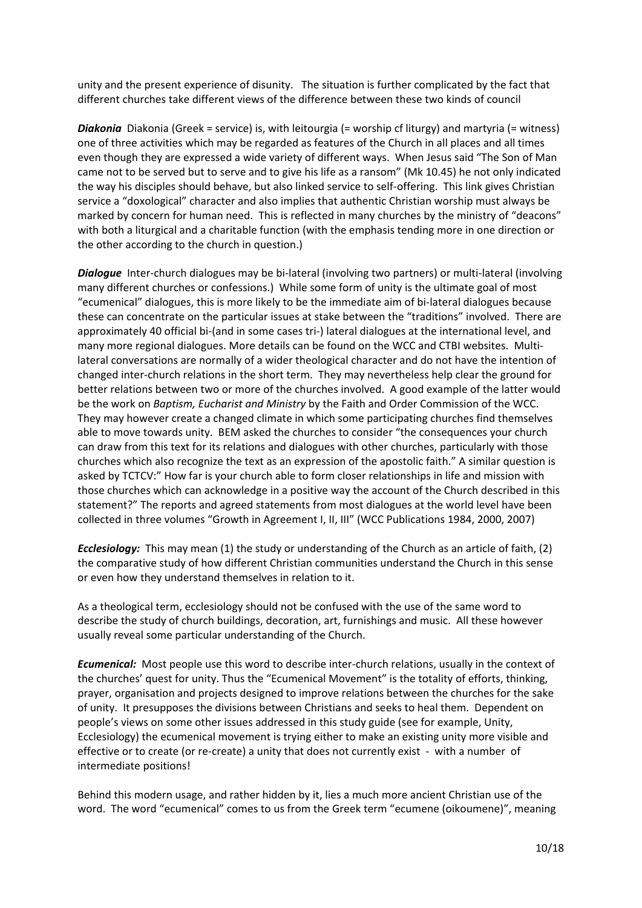unity and the present experience of disunity. The situation is further complicated by the fact that different churches take different views of the difference between these two kinds of council

*Diakonia* Diakonia (Greek = service) is, with leitourgia (= worship cf liturgy) and martyria (= witness) one of three activities which may be regarded as features of the Church in all places and all times even though they are expressed a wide variety of different ways. When Jesus said "The Son of Man came not to be served but to serve and to give his life as a ransom" (Mk 10.45) he not only indicated the way his disciples should behave, but also linked service to self‐offering. This link gives Christian service a "doxological" character and also implies that authentic Christian worship must always be marked by concern for human need. This is reflected in many churches by the ministry of "deacons" with both a liturgical and a charitable function (with the emphasis tending more in one direction or the other according to the church in question.)

**Dialogue** Inter-church dialogues may be bi-lateral (involving two partners) or multi-lateral (involving many different churches or confessions.) While some form of unity is the ultimate goal of most "ecumenical" dialogues, this is more likely to be the immediate aim of bi‐lateral dialogues because these can concentrate on the particular issues at stake between the "traditions" involved. There are approximately 40 official bi-(and in some cases tri-) lateral dialogues at the international level, and many more regional dialogues. More details can be found on the WCC and CTBI websites. Multilateral conversations are normally of a wider theological character and do not have the intention of changed inter‐church relations in the short term. They may nevertheless help clear the ground for better relations between two or more of the churches involved. A good example of the latter would be the work on *Baptism, Eucharist and Ministry* by the Faith and Order Commission of the WCC. They may however create a changed climate in which some participating churches find themselves able to move towards unity. BEM asked the churches to consider "the consequences your church can draw from this text for its relations and dialogues with other churches, particularly with those churches which also recognize the text as an expression of the apostolic faith." A similar question is asked by TCTCV:" How far is your church able to form closer relationships in life and mission with those churches which can acknowledge in a positive way the account of the Church described in this statement?" The reports and agreed statements from most dialogues at the world level have been collected in three volumes "Growth in Agreement I, II, III" (WCC Publications 1984, 2000, 2007)

*Ecclesiology:* This may mean (1) the study or understanding of the Church as an article of faith, (2) the comparative study of how different Christian communities understand the Church in this sense or even how they understand themselves in relation to it.

As a theological term, ecclesiology should not be confused with the use of the same word to describe the study of church buildings, decoration, art, furnishings and music. All these however usually reveal some particular understanding of the Church.

*Ecumenical:* Most people use this word to describe inter‐church relations, usually in the context of the churches' quest for unity. Thus the "Ecumenical Movement" is the totality of efforts, thinking, prayer, organisation and projects designed to improve relations between the churches for the sake of unity. It presupposes the divisions between Christians and seeks to heal them. Dependent on people's views on some other issues addressed in this study guide (see for example, Unity, Ecclesiology) the ecumenical movement is trying either to make an existing unity more visible and effective or to create (or re-create) a unity that does not currently exist - with a number of intermediate positions!

Behind this modern usage, and rather hidden by it, lies a much more ancient Christian use of the word. The word "ecumenical" comes to us from the Greek term "ecumene (oikoumene)", meaning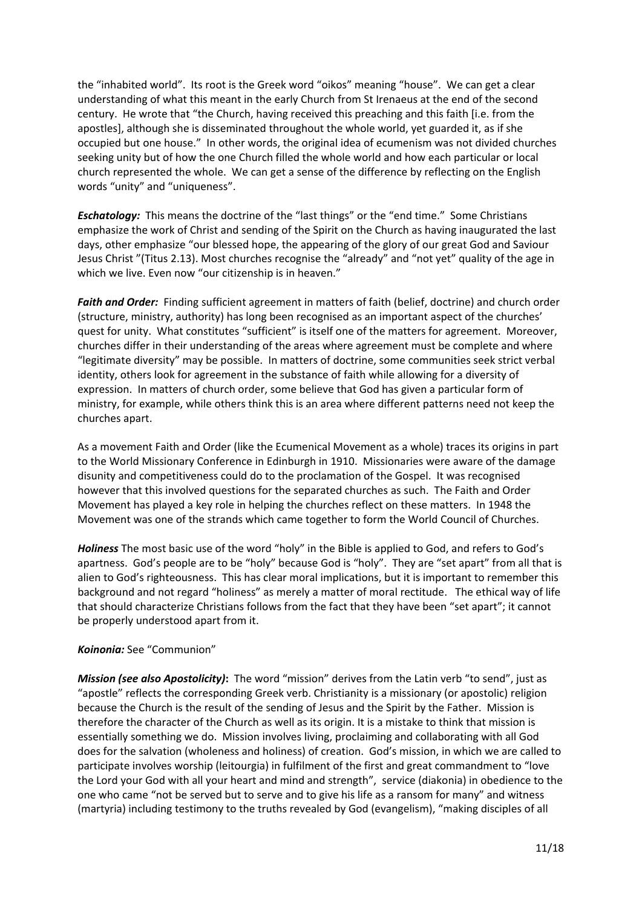the "inhabited world". Its root is the Greek word "oikos" meaning "house". We can get a clear understanding of what this meant in the early Church from St Irenaeus at the end of the second century. He wrote that "the Church, having received this preaching and this faith [i.e. from the apostles], although she is disseminated throughout the whole world, yet guarded it, as if she occupied but one house." In other words, the original idea of ecumenism was not divided churches seeking unity but of how the one Church filled the whole world and how each particular or local church represented the whole. We can get a sense of the difference by reflecting on the English words "unity" and "uniqueness".

**Eschatology:** This means the doctrine of the "last things" or the "end time." Some Christians emphasize the work of Christ and sending of the Spirit on the Church as having inaugurated the last days, other emphasize "our blessed hope, the appearing of the glory of our great God and Saviour Jesus Christ "(Titus 2.13). Most churches recognise the "already" and "not yet" quality of the age in which we live. Even now "our citizenship is in heaven."

*Faith and Order:* Finding sufficient agreement in matters of faith (belief, doctrine) and church order (structure, ministry, authority) has long been recognised as an important aspect of the churches' quest for unity. What constitutes "sufficient" is itself one of the matters for agreement. Moreover, churches differ in their understanding of the areas where agreement must be complete and where "legitimate diversity" may be possible. In matters of doctrine, some communities seek strict verbal identity, others look for agreement in the substance of faith while allowing for a diversity of expression. In matters of church order, some believe that God has given a particular form of ministry, for example, while others think this is an area where different patterns need not keep the churches apart.

As a movement Faith and Order (like the Ecumenical Movement as a whole) traces its origins in part to the World Missionary Conference in Edinburgh in 1910. Missionaries were aware of the damage disunity and competitiveness could do to the proclamation of the Gospel. It was recognised however that this involved questions for the separated churches as such. The Faith and Order Movement has played a key role in helping the churches reflect on these matters. In 1948 the Movement was one of the strands which came together to form the World Council of Churches.

*Holiness* The most basic use of the word "holy" in the Bible is applied to God, and refers to God's apartness. God's people are to be "holy" because God is "holy". They are "set apart" from all that is alien to God's righteousness. This has clear moral implications, but it is important to remember this background and not regard "holiness" as merely a matter of moral rectitude. The ethical way of life that should characterize Christians follows from the fact that they have been "set apart"; it cannot be properly understood apart from it.

## *Koinonia:* See "Communion"

*Mission (see also Apostolicity)***:** The word "mission" derives from the Latin verb "to send", just as "apostle" reflects the corresponding Greek verb. Christianity is a missionary (or apostolic) religion because the Church is the result of the sending of Jesus and the Spirit by the Father. Mission is therefore the character of the Church as well as its origin. It is a mistake to think that mission is essentially something we do. Mission involves living, proclaiming and collaborating with all God does for the salvation (wholeness and holiness) of creation. God's mission, in which we are called to participate involves worship (leitourgia) in fulfilment of the first and great commandment to "love the Lord your God with all your heart and mind and strength", service (diakonia) in obedience to the one who came "not be served but to serve and to give his life as a ransom for many" and witness (martyria) including testimony to the truths revealed by God (evangelism), "making disciples of all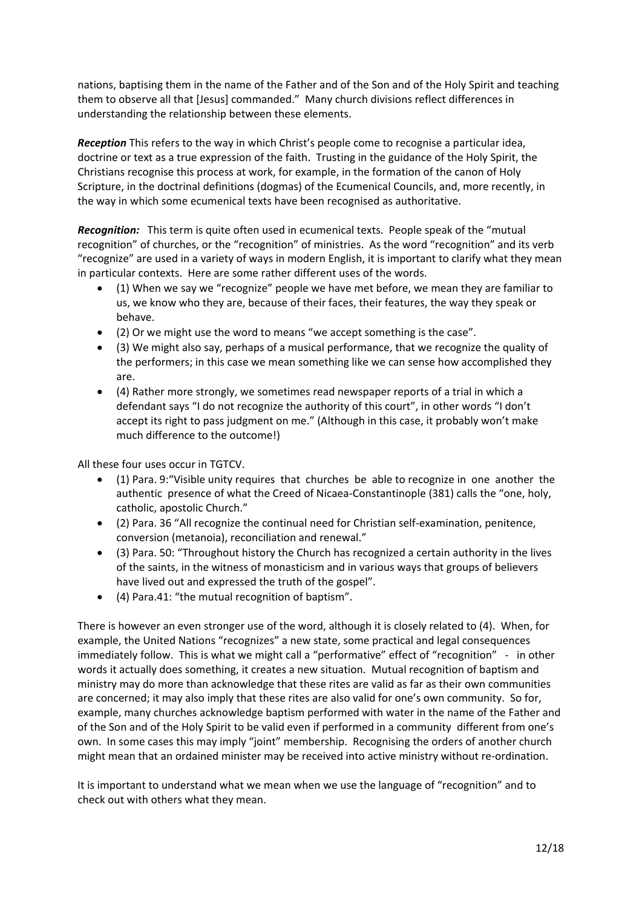nations, baptising them in the name of the Father and of the Son and of the Holy Spirit and teaching them to observe all that [Jesus] commanded." Many church divisions reflect differences in understanding the relationship between these elements.

*Reception* This refers to the way in which Christ's people come to recognise a particular idea, doctrine or text as a true expression of the faith. Trusting in the guidance of the Holy Spirit, the Christians recognise this process at work, for example, in the formation of the canon of Holy Scripture, in the doctrinal definitions (dogmas) of the Ecumenical Councils, and, more recently, in the way in which some ecumenical texts have been recognised as authoritative.

**Recognition:** This term is quite often used in ecumenical texts. People speak of the "mutual recognition" of churches, or the "recognition" of ministries. As the word "recognition" and its verb "recognize" are used in a variety of ways in modern English, it is important to clarify what they mean in particular contexts. Here are some rather different uses of the words.

- (1) When we say we "recognize" people we have met before, we mean they are familiar to us, we know who they are, because of their faces, their features, the way they speak or behave.
- (2) Or we might use the word to means "we accept something is the case".
- (3) We might also say, perhaps of a musical performance, that we recognize the quality of the performers; in this case we mean something like we can sense how accomplished they are.
- (4) Rather more strongly, we sometimes read newspaper reports of a trial in which a defendant says "I do not recognize the authority of this court", in other words "I don't accept its right to pass judgment on me." (Although in this case, it probably won't make much difference to the outcome!)

All these four uses occur in TGTCV.

- (1) Para. 9:"Visible unity requires that churches be able to recognize in one another the authentic presence of what the Creed of Nicaea‐Constantinople (381) calls the "one, holy, catholic, apostolic Church."
- (2) Para. 36 "All recognize the continual need for Christian self‐examination, penitence, conversion (metanoia), reconciliation and renewal."
- (3) Para. 50: "Throughout history the Church has recognized a certain authority in the lives of the saints, in the witness of monasticism and in various ways that groups of believers have lived out and expressed the truth of the gospel".
- (4) Para.41: "the mutual recognition of baptism".

There is however an even stronger use of the word, although it is closely related to (4). When, for example, the United Nations "recognizes" a new state, some practical and legal consequences immediately follow. This is what we might call a "performative" effect of "recognition" - in other words it actually does something, it creates a new situation. Mutual recognition of baptism and ministry may do more than acknowledge that these rites are valid as far as their own communities are concerned; it may also imply that these rites are also valid for one's own community. So for, example, many churches acknowledge baptism performed with water in the name of the Father and of the Son and of the Holy Spirit to be valid even if performed in a community different from one's own. In some cases this may imply "joint" membership. Recognising the orders of another church might mean that an ordained minister may be received into active ministry without re‐ordination.

It is important to understand what we mean when we use the language of "recognition" and to check out with others what they mean.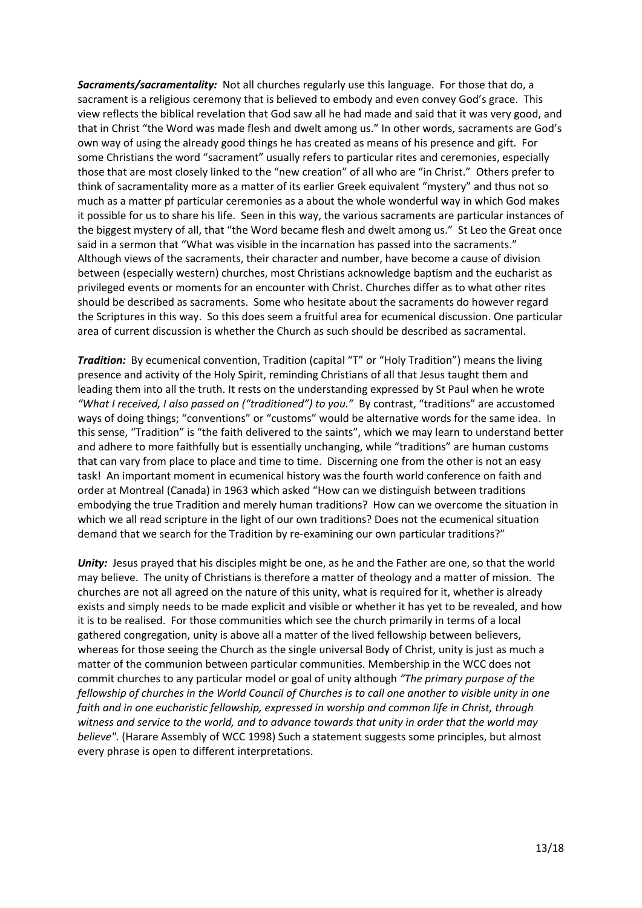*Sacraments/sacramentality:* Not all churches regularly use this language. For those that do, a sacrament is a religious ceremony that is believed to embody and even convey God's grace. This view reflects the biblical revelation that God saw all he had made and said that it was very good, and that in Christ "the Word was made flesh and dwelt among us." In other words, sacraments are God's own way of using the already good things he has created as means of his presence and gift. For some Christians the word "sacrament" usually refers to particular rites and ceremonies, especially those that are most closely linked to the "new creation" of all who are "in Christ." Others prefer to think of sacramentality more as a matter of its earlier Greek equivalent "mystery" and thus not so much as a matter pf particular ceremonies as a about the whole wonderful way in which God makes it possible for us to share his life. Seen in this way, the various sacraments are particular instances of the biggest mystery of all, that "the Word became flesh and dwelt among us." St Leo the Great once said in a sermon that "What was visible in the incarnation has passed into the sacraments." Although views of the sacraments, their character and number, have become a cause of division between (especially western) churches, most Christians acknowledge baptism and the eucharist as privileged events or moments for an encounter with Christ. Churches differ as to what other rites should be described as sacraments. Some who hesitate about the sacraments do however regard the Scriptures in this way. So this does seem a fruitful area for ecumenical discussion. One particular area of current discussion is whether the Church as such should be described as sacramental.

*Tradition:* By ecumenical convention, Tradition (capital "T" or "Holy Tradition") means the living presence and activity of the Holy Spirit, reminding Christians of all that Jesus taught them and leading them into all the truth. It rests on the understanding expressed by St Paul when he wrote *"What I received, I also passed on ("traditioned") to you."* By contrast, "traditions" are accustomed ways of doing things; "conventions" or "customs" would be alternative words for the same idea. In this sense, "Tradition" is "the faith delivered to the saints", which we may learn to understand better and adhere to more faithfully but is essentially unchanging, while "traditions" are human customs that can vary from place to place and time to time. Discerning one from the other is not an easy task! An important moment in ecumenical history was the fourth world conference on faith and order at Montreal (Canada) in 1963 which asked "How can we distinguish between traditions embodying the true Tradition and merely human traditions? How can we overcome the situation in which we all read scripture in the light of our own traditions? Does not the ecumenical situation demand that we search for the Tradition by re-examining our own particular traditions?"

*Unity:* Jesus prayed that his disciples might be one, as he and the Father are one, so that the world may believe. The unity of Christians is therefore a matter of theology and a matter of mission. The churches are not all agreed on the nature of this unity, what is required for it, whether is already exists and simply needs to be made explicit and visible or whether it has yet to be revealed, and how it is to be realised. For those communities which see the church primarily in terms of a local gathered congregation, unity is above all a matter of the lived fellowship between believers, whereas for those seeing the Church as the single universal Body of Christ, unity is just as much a matter of the communion between particular communities. Membership in the WCC does not commit churches to any particular model or goal of unity although *"The primary purpose of the* fellowship of churches in the World Council of Churches is to call one another to visible unity in one *faith and in one eucharistic fellowship, expressed in worship and common life in Christ, through witness and service to the world, and to advance towards that unity in order that the world may believe".* (Harare Assembly of WCC 1998) Such a statement suggests some principles, but almost every phrase is open to different interpretations.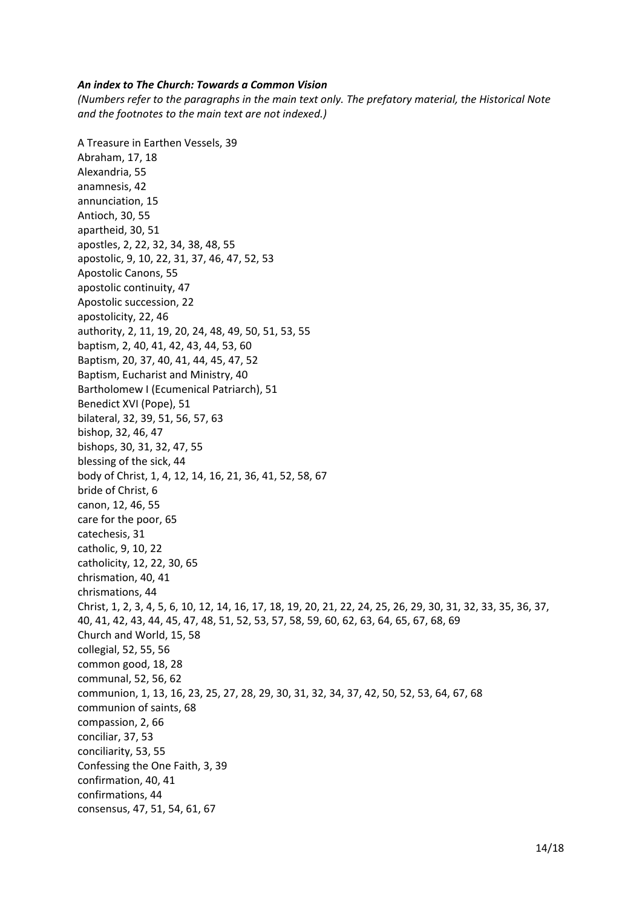#### *An index to The Church: Towards a Common Vision*

*(Numbers refer to the paragraphs in the main text only. The prefatory material, the Historical Note and the footnotes to the main text are not indexed.)*

A Treasure in Earthen Vessels, 39 Abraham, 17, 18 Alexandria, 55 anamnesis, 42 annunciation, 15 Antioch, 30, 55 apartheid, 30, 51 apostles, 2, 22, 32, 34, 38, 48, 55 apostolic, 9, 10, 22, 31, 37, 46, 47, 52, 53 Apostolic Canons, 55 apostolic continuity, 47 Apostolic succession, 22 apostolicity, 22, 46 authority, 2, 11, 19, 20, 24, 48, 49, 50, 51, 53, 55 baptism, 2, 40, 41, 42, 43, 44, 53, 60 Baptism, 20, 37, 40, 41, 44, 45, 47, 52 Baptism, Eucharist and Ministry, 40 Bartholomew I (Ecumenical Patriarch), 51 Benedict XVI (Pope), 51 bilateral, 32, 39, 51, 56, 57, 63 bishop, 32, 46, 47 bishops, 30, 31, 32, 47, 55 blessing of the sick, 44 body of Christ, 1, 4, 12, 14, 16, 21, 36, 41, 52, 58, 67 bride of Christ, 6 canon, 12, 46, 55 care for the poor, 65 catechesis, 31 catholic, 9, 10, 22 catholicity, 12, 22, 30, 65 chrismation, 40, 41 chrismations, 44 Christ, 1, 2, 3, 4, 5, 6, 10, 12, 14, 16, 17, 18, 19, 20, 21, 22, 24, 25, 26, 29, 30, 31, 32, 33, 35, 36, 37, 40, 41, 42, 43, 44, 45, 47, 48, 51, 52, 53, 57, 58, 59, 60, 62, 63, 64, 65, 67, 68, 69 Church and World, 15, 58 collegial, 52, 55, 56 common good, 18, 28 communal, 52, 56, 62 communion, 1, 13, 16, 23, 25, 27, 28, 29, 30, 31, 32, 34, 37, 42, 50, 52, 53, 64, 67, 68 communion of saints, 68 compassion, 2, 66 conciliar, 37, 53 conciliarity, 53, 55 Confessing the One Faith, 3, 39 confirmation, 40, 41 confirmations, 44 consensus, 47, 51, 54, 61, 67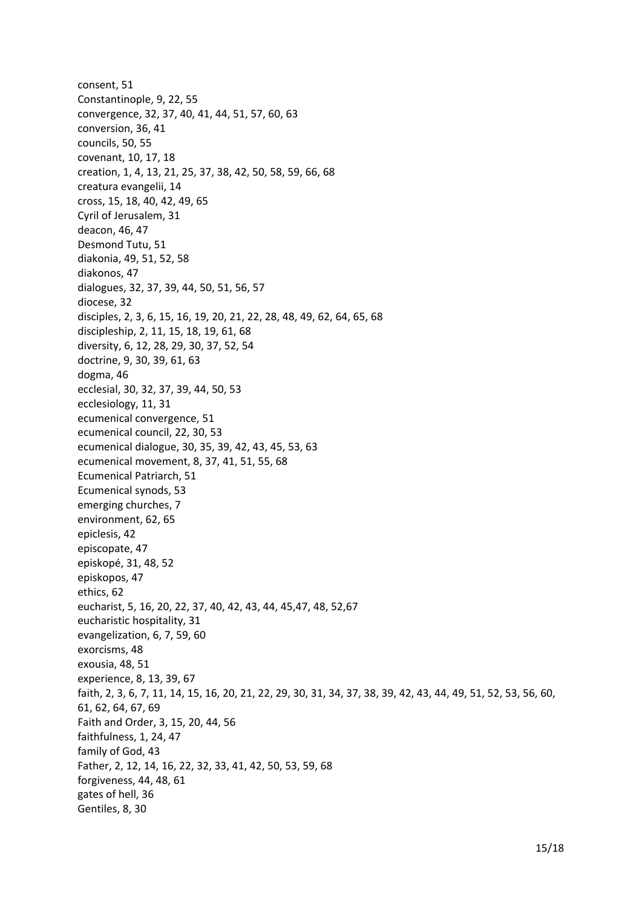consent, 51 Constantinople, 9, 22, 55 convergence, 32, 37, 40, 41, 44, 51, 57, 60, 63 conversion, 36, 41 councils, 50, 55 covenant, 10, 17, 18 creation, 1, 4, 13, 21, 25, 37, 38, 42, 50, 58, 59, 66, 68 creatura evangelii, 14 cross, 15, 18, 40, 42, 49, 65 Cyril of Jerusalem, 31 deacon, 46, 47 Desmond Tutu, 51 diakonia, 49, 51, 52, 58 diakonos, 47 dialogues, 32, 37, 39, 44, 50, 51, 56, 57 diocese, 32 disciples, 2, 3, 6, 15, 16, 19, 20, 21, 22, 28, 48, 49, 62, 64, 65, 68 discipleship, 2, 11, 15, 18, 19, 61, 68 diversity, 6, 12, 28, 29, 30, 37, 52, 54 doctrine, 9, 30, 39, 61, 63 dogma, 46 ecclesial, 30, 32, 37, 39, 44, 50, 53 ecclesiology, 11, 31 ecumenical convergence, 51 ecumenical council, 22, 30, 53 ecumenical dialogue, 30, 35, 39, 42, 43, 45, 53, 63 ecumenical movement, 8, 37, 41, 51, 55, 68 Ecumenical Patriarch, 51 Ecumenical synods, 53 emerging churches, 7 environment, 62, 65 epiclesis, 42 episcopate, 47 episkopé, 31, 48, 52 episkopos, 47 ethics, 62 eucharist, 5, 16, 20, 22, 37, 40, 42, 43, 44, 45,47, 48, 52,67 eucharistic hospitality, 31 evangelization, 6, 7, 59, 60 exorcisms, 48 exousia, 48, 51 experience, 8, 13, 39, 67 faith, 2, 3, 6, 7, 11, 14, 15, 16, 20, 21, 22, 29, 30, 31, 34, 37, 38, 39, 42, 43, 44, 49, 51, 52, 53, 56, 60, 61, 62, 64, 67, 69 Faith and Order, 3, 15, 20, 44, 56 faithfulness, 1, 24, 47 family of God, 43 Father, 2, 12, 14, 16, 22, 32, 33, 41, 42, 50, 53, 59, 68 forgiveness, 44, 48, 61 gates of hell, 36 Gentiles, 8, 30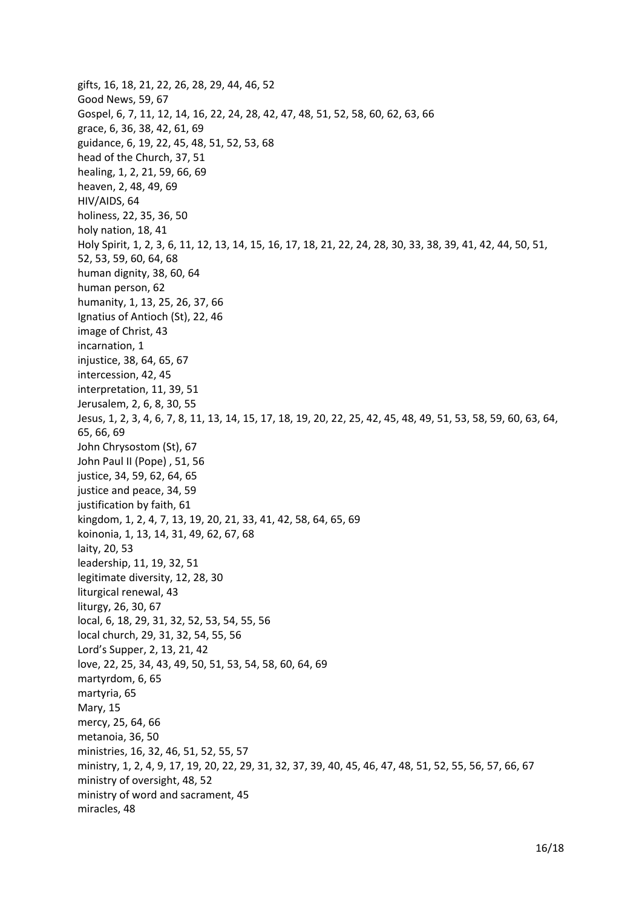gifts, 16, 18, 21, 22, 26, 28, 29, 44, 46, 52 Good News, 59, 67 Gospel, 6, 7, 11, 12, 14, 16, 22, 24, 28, 42, 47, 48, 51, 52, 58, 60, 62, 63, 66 grace, 6, 36, 38, 42, 61, 69 guidance, 6, 19, 22, 45, 48, 51, 52, 53, 68 head of the Church, 37, 51 healing, 1, 2, 21, 59, 66, 69 heaven, 2, 48, 49, 69 HIV/AIDS, 64 holiness, 22, 35, 36, 50 holy nation, 18, 41 Holy Spirit, 1, 2, 3, 6, 11, 12, 13, 14, 15, 16, 17, 18, 21, 22, 24, 28, 30, 33, 38, 39, 41, 42, 44, 50, 51, 52, 53, 59, 60, 64, 68 human dignity, 38, 60, 64 human person, 62 humanity, 1, 13, 25, 26, 37, 66 Ignatius of Antioch (St), 22, 46 image of Christ, 43 incarnation, 1 injustice, 38, 64, 65, 67 intercession, 42, 45 interpretation, 11, 39, 51 Jerusalem, 2, 6, 8, 30, 55 Jesus, 1, 2, 3, 4, 6, 7, 8, 11, 13, 14, 15, 17, 18, 19, 20, 22, 25, 42, 45, 48, 49, 51, 53, 58, 59, 60, 63, 64, 65, 66, 69 John Chrysostom (St), 67 John Paul II (Pope), 51, 56 justice, 34, 59, 62, 64, 65 justice and peace, 34, 59 justification by faith, 61 kingdom, 1, 2, 4, 7, 13, 19, 20, 21, 33, 41, 42, 58, 64, 65, 69 koinonia, 1, 13, 14, 31, 49, 62, 67, 68 laity, 20, 53 leadership, 11, 19, 32, 51 legitimate diversity, 12, 28, 30 liturgical renewal, 43 liturgy, 26, 30, 67 local, 6, 18, 29, 31, 32, 52, 53, 54, 55, 56 local church, 29, 31, 32, 54, 55, 56 Lord's Supper, 2, 13, 21, 42 love, 22, 25, 34, 43, 49, 50, 51, 53, 54, 58, 60, 64, 69 martyrdom, 6, 65 martyria, 65 Mary, 15 mercy, 25, 64, 66 metanoia, 36, 50 ministries, 16, 32, 46, 51, 52, 55, 57 ministry, 1, 2, 4, 9, 17, 19, 20, 22, 29, 31, 32, 37, 39, 40, 45, 46, 47, 48, 51, 52, 55, 56, 57, 66, 67 ministry of oversight, 48, 52 ministry of word and sacrament, 45 miracles, 48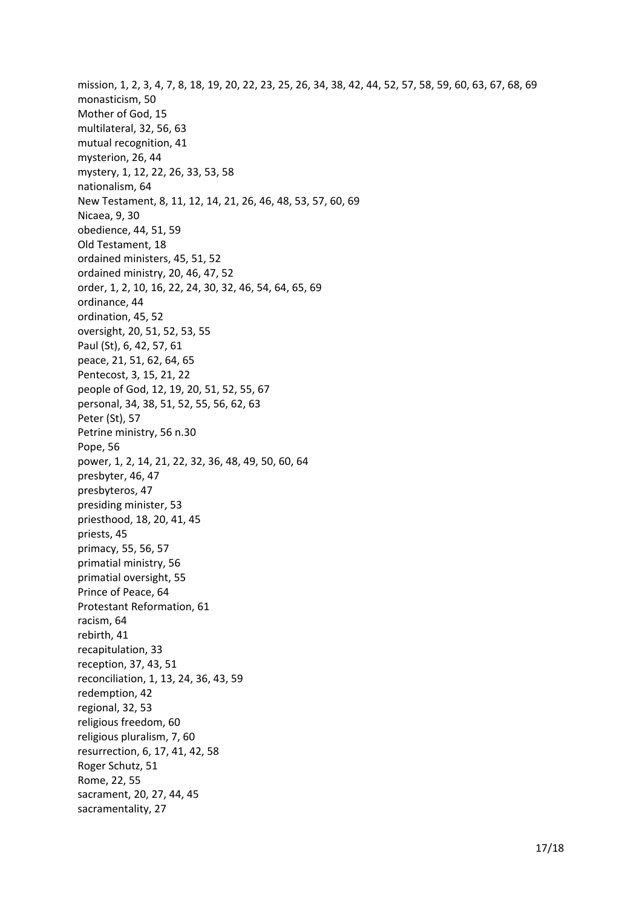mission, 1, 2, 3, 4, 7, 8, 18, 19, 20, 22, 23, 25, 26, 34, 38, 42, 44, 52, 57, 58, 59, 60, 63, 67, 68, 69 monasticism, 50 Mother of God, 15 multilateral, 32, 56, 63 mutual recognition, 41 mysterion, 26, 44 mystery, 1, 12, 22, 26, 33, 53, 58 nationalism, 64 New Testament, 8, 11, 12, 14, 21, 26, 46, 48, 53, 57, 60, 69 Nicaea, 9, 30 obedience, 44, 51, 59 Old Testament, 18 ordained ministers, 45, 51, 52 ordained ministry, 20, 46, 47, 52 order, 1, 2, 10, 16, 22, 24, 30, 32, 46, 54, 64, 65, 69 ordinance, 44 ordination, 45, 52 oversight, 20, 51, 52, 53, 55 Paul (St), 6, 42, 57, 61 peace, 21, 51, 62, 64, 65 Pentecost, 3, 15, 21, 22 people of God, 12, 19, 20, 51, 52, 55, 67 personal, 34, 38, 51, 52, 55, 56, 62, 63 Peter (St), 57 Petrine ministry, 56 n.30 Pope, 56 power, 1, 2, 14, 21, 22, 32, 36, 48, 49, 50, 60, 64 presbyter, 46, 47 presbyteros, 47 presiding minister, 53 priesthood, 18, 20, 41, 45 priests, 45 primacy, 55, 56, 57 primatial ministry, 56 primatial oversight, 55 Prince of Peace, 64 Protestant Reformation, 61 racism, 64 rebirth, 41 recapitulation, 33 reception, 37, 43, 51 reconciliation, 1, 13, 24, 36, 43, 59 redemption, 42 regional, 32, 53 religious freedom, 60 religious pluralism, 7, 60 resurrection, 6, 17, 41, 42, 58 Roger Schutz, 51 Rome, 22, 55 sacrament, 20, 27, 44, 45 sacramentality, 27